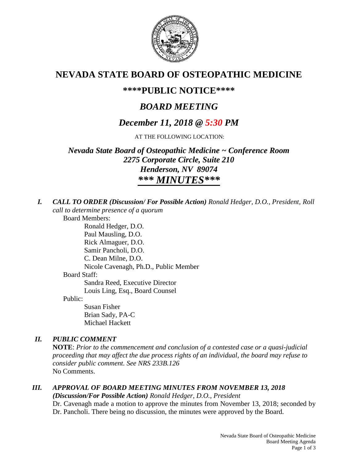

# **NEVADA STATE BOARD OF OSTEOPATHIC MEDICINE**

# **\*\*\*\*PUBLIC NOTICE\*\*\*\***

# *BOARD MEETING*

# *December 11, 2018 @ 5:30 PM*

AT THE FOLLOWING LOCATION:

*Nevada State Board of Osteopathic Medicine ~ Conference Room 2275 Corporate Circle, Suite 210 Henderson, NV 89074 \*\*\* MINUTES\*\*\**

*I. CALL TO ORDER (Discussion/ For Possible Action) Ronald Hedger, D.O., President, Roll call to determine presence of a quorum*

Board Members: Ronald Hedger, D.O. Paul Mausling, D.O. Rick Almaguer, D.O. Samir Pancholi, D.O. C. Dean Milne, D.O. Nicole Cavenagh, Ph.D., Public Member Board Staff: Sandra Reed, Executive Director Louis Ling, Esq., Board Counsel

Public:

Susan Fisher Brian Sady, PA-C Michael Hackett

# *II. PUBLIC COMMENT*

**NOTE**: *Prior to the commencement and conclusion of a contested case or a quasi-judicial proceeding that may affect the due process rights of an individual, the board may refuse to consider public comment. See NRS 233B.126* No Comments.

### *III. APPROVAL OF BOARD MEETING MINUTES FROM NOVEMBER 13, 2018 (Discussion/For Possible Action) Ronald Hedger, D.O., President*

Dr. Cavenagh made a motion to approve the minutes from November 13, 2018; seconded by Dr. Pancholi. There being no discussion, the minutes were approved by the Board.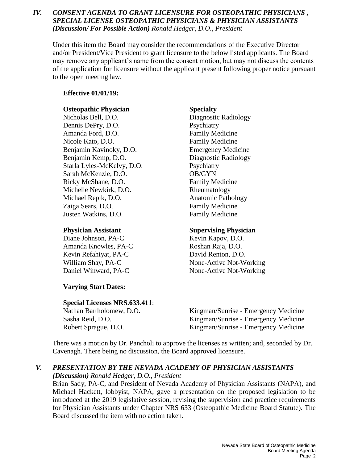## *IV. CONSENT AGENDA TO GRANT LICENSURE FOR OSTEOPATHIC PHYSICIANS , SPECIAL LICENSE OSTEOPATHIC PHYSICIANS & PHYSICIAN ASSISTANTS (Discussion/ For Possible Action) Ronald Hedger, D.O., President*

Under this item the Board may consider the recommendations of the Executive Director and/or President/Vice President to grant licensure to the below listed applicants. The Board may remove any applicant's name from the consent motion, but may not discuss the contents of the application for licensure without the applicant present following proper notice pursuant to the open meeting law.

### **Effective 01/01/19:**

### **Osteopathic Physician Specialty**

Nicholas Bell, D.O. Diagnostic Radiology Dennis DePry, D.O. Psychiatry Amanda Ford, D.O. **Family Medicine** Nicole Kato, D.O. **Family Medicine** Benjamin Kavinoky, D.O. Emergency Medicine Benjamin Kemp, D.O. Diagnostic Radiology Starla Lyles-McKelvy, D.O. Psychiatry Sarah McKenzie, D.O. OB/GYN Ricky McShane, D.O. Family Medicine Michelle Newkirk, D.O. Rheumatology Michael Repik, D.O. **Anatomic Pathology** Zaiga Sears, D.O. Family Medicine Justen Watkins, D.O. Family Medicine

Diane Johnson, PA-C Kevin Kapov, D.O. Amanda Knowles, PA-C Roshan Raja, D.O. Kevin Refahiyat, PA-C David Renton, D.O.

### **Varying Start Dates:**

### **Special Licenses NRS.633.411**:

### **Physician Assistant Supervising Physician**

William Shay, PA-C None-Active Not-Working Daniel Winward, PA-C None-Active Not-Working

Nathan Bartholomew, D.O. Kingman/Sunrise - Emergency Medicine Sasha Reid, D.O. Kingman/Sunrise - Emergency Medicine Robert Sprague, D.O. Kingman/Sunrise - Emergency Medicine

There was a motion by Dr. Pancholi to approve the licenses as written; and, seconded by Dr. Cavenagh. There being no discussion, the Board approved licensure.

# *V. PRESENTATION BY THE NEVADA ACADEMY OF PHYSICIAN ASSISTANTS*

*(Discussion) Ronald Hedger, D.O., President*

Brian Sady, PA-C, and President of Nevada Academy of Physician Assistants (NAPA), and Michael Hackett, lobbyist, NAPA, gave a presentation on the proposed legislation to be introduced at the 2019 legislative session, revising the supervision and practice requirements for Physician Assistants under Chapter NRS 633 (Osteopathic Medicine Board Statute). The Board discussed the item with no action taken.